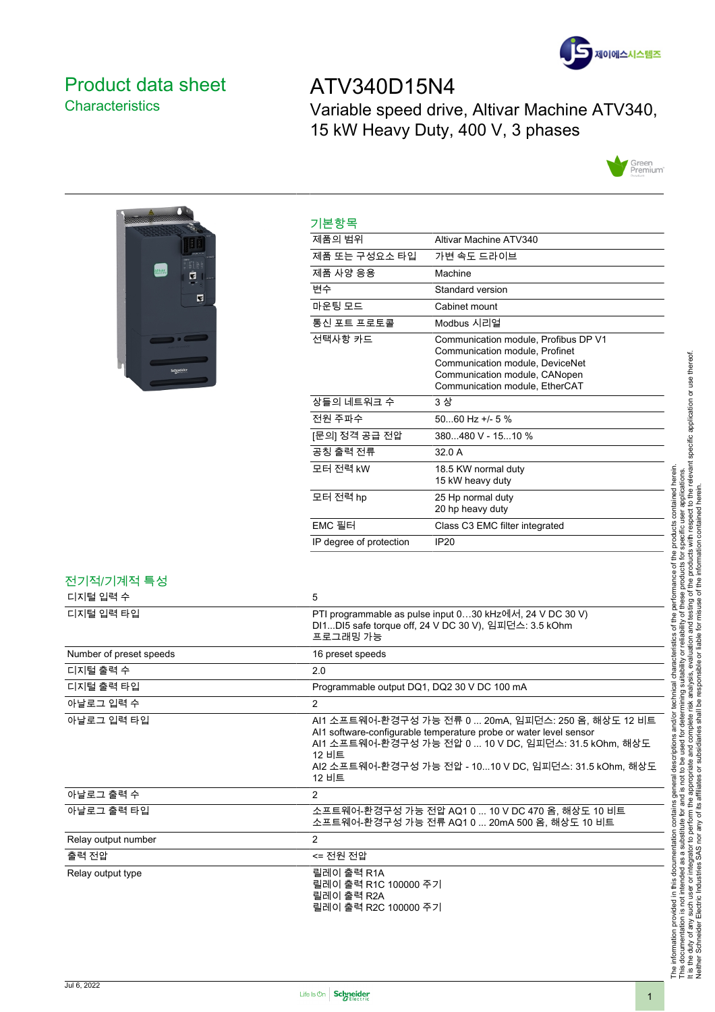

### <span id="page-0-0"></span>Product data sheet **Characteristics**

# ATV340D15N4

Variable speed drive, Altivar Machine ATV340, 15 kW Heavy Duty, 400 V, 3 phases





| 기본항목                    |                                                                                                                                                                              |
|-------------------------|------------------------------------------------------------------------------------------------------------------------------------------------------------------------------|
| 제품의 범위                  | Altivar Machine ATV340                                                                                                                                                       |
| 제품 또는 구성요소 타입           | 가변 속도 드라이브                                                                                                                                                                   |
| 제품 사양 응용                | Machine                                                                                                                                                                      |
| 변수                      | Standard version                                                                                                                                                             |
| 마운팅 모드                  | Cabinet mount                                                                                                                                                                |
| 통신 포트 프로토콜              | Modbus 시리얼                                                                                                                                                                   |
| 선택사항 카드                 | Communication module, Profibus DP V1<br>Communication module, Profinet<br>Communication module, DeviceNet<br>Communication module, CANopen<br>Communication module, EtherCAT |
| 상들의 네트워크 수              | 3 상                                                                                                                                                                          |
| 전원 주파수                  | $5060$ Hz +/- 5 %                                                                                                                                                            |
| [문의] 정격 공급 전압           | 380480 V - 1510 %                                                                                                                                                            |
| 공칭 출력 전류                | 320A                                                                                                                                                                         |
| 모터 전력 kW                | 18.5 KW normal duty<br>15 kW heavy duty                                                                                                                                      |
| 모터 전력 hp                | 25 Hp normal duty<br>20 hp heavy duty                                                                                                                                        |
| EMC 필터                  | Class C3 EMC filter integrated                                                                                                                                               |
| IP degree of protection | IP20                                                                                                                                                                         |

## 전기적/기계적 특성

| 디지털 입력 수                | 5                                                                                                                                                                                                                                                              |
|-------------------------|----------------------------------------------------------------------------------------------------------------------------------------------------------------------------------------------------------------------------------------------------------------|
| 디지털 입력 타입               | PTI programmable as pulse input 030 kHz에서, 24 V DC 30 V)<br>DI1DI5 safe torque off, 24 V DC 30 V), 임피던스: 3.5 kOhm<br>프로그래밍 가능                                                                                                                                  |
| Number of preset speeds | 16 preset speeds                                                                                                                                                                                                                                               |
| 디지털 출력 수                | 2.0                                                                                                                                                                                                                                                            |
| 디지털 출력 타입               | Programmable output DQ1, DQ2 30 V DC 100 mA                                                                                                                                                                                                                    |
| 아날로그 입력 수               | $\overline{2}$                                                                                                                                                                                                                                                 |
| 아날로그 입력 타입              | AI1 소프트웨어-환경구성 가능 전류 0  20mA, 임피던스: 250 옴, 해상도 12 비트<br>Al1 software-configurable temperature probe or water level sensor<br>AI1 소프트웨어-환경구성 가능 전압 0  10 V DC. 임피던스: 31.5 kOhm. 해상도<br>12 비트<br>AI2 소프트웨어-환경구성 가능 전압 - 1010 V DC, 임피던스: 31.5 kOhm, 해상도<br>12 비트 |
| 아날로그 출력 수               | $\overline{2}$                                                                                                                                                                                                                                                 |
| 아날로그 출력 타입              | 소프트웨어-환경구성 가능 전압 AQ1 0  10 V DC 470 옴. 해상도 10 비트<br>소프트웨어-환경구성 가능 전류 AQ1 0  20mA 500 옴, 해상도 10 비트                                                                                                                                                              |
| Relay output number     | $\overline{2}$                                                                                                                                                                                                                                                 |
| 출력 전압                   | <= 전원 전압                                                                                                                                                                                                                                                       |
| Relay output type       | 릴레이 출력 R1A<br>릴레이 출력 R1C 100000 주기<br>릴레이 출력 R2A<br>릴레이 출력 R2C 100000 주기                                                                                                                                                                                       |

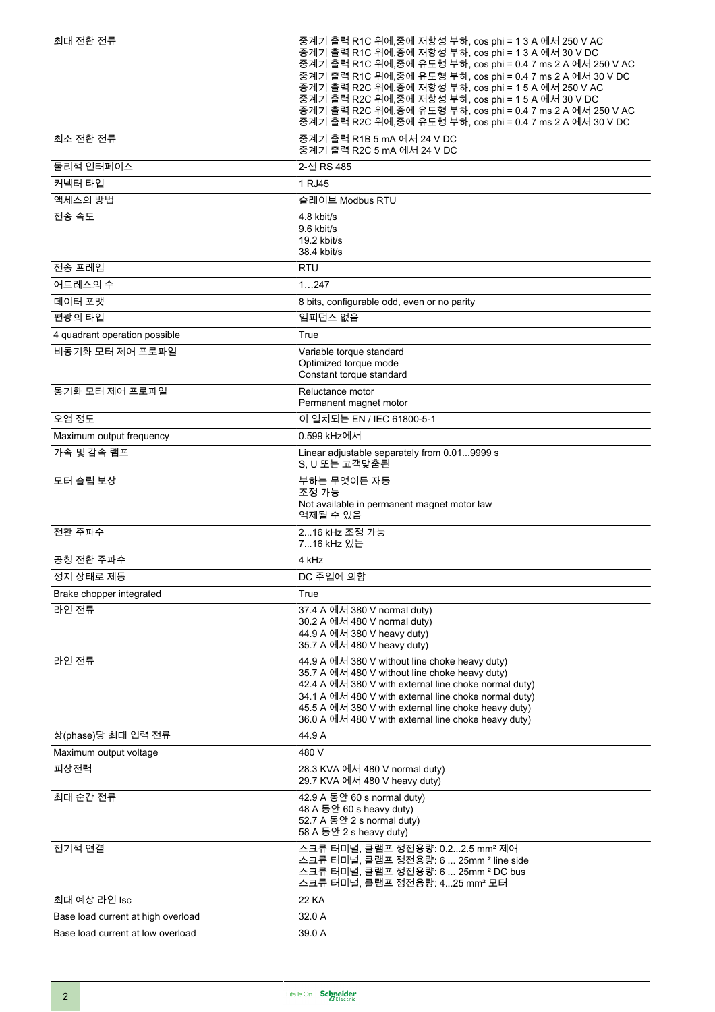| 최대 전환 전류                           | 중계기 출력 R1C 위에,중에 저항성 부하, cos phi = 1 3 A 에서 250 V AC<br>중계기 출력 R1C 위에,중에 저항성 부하, cos phi = 1 3 A 에서 30 V DC<br>중계기 출력 R1C 위에,중에 유도형 부하, cos phi = 0.4 7 ms 2 A 에서 250 V AC<br>중계기 출력 R1C 위에,중에 유도형 부하, cos phi = 0.4 7 ms 2 A 에서 30 V DC<br>중계기 출력 R2C 위에,중에 저항성 부하, cos phi = 1 5 A 에서 250 V AC<br>중계기 출력 R2C 위에,중에 저항성 부하, cos phi = 1 5 A 에서 30 V DC<br>중계기 출력 R2C 위에,중에 유도형 부하, cos phi = 0.4 7 ms 2 A 에서 250 V AC<br>중계기 출력 R2C 위에,중에 유도형 부하, cos phi = 0.4 7 ms 2 A 에서 30 V DC |  |
|------------------------------------|--------------------------------------------------------------------------------------------------------------------------------------------------------------------------------------------------------------------------------------------------------------------------------------------------------------------------------------------------------------------------------------------------------------------------------------------------------------------------------------|--|
| 최소 전환 전류                           | 중계기 출력 R1B 5 mA 에서 24 V DC<br>중계기 출력 R2C 5 mA 에서 24 V DC                                                                                                                                                                                                                                                                                                                                                                                                                             |  |
| 물리적 인터페이스                          | 2-선 RS 485                                                                                                                                                                                                                                                                                                                                                                                                                                                                           |  |
| 커넥터 타입                             | 1 RJ45                                                                                                                                                                                                                                                                                                                                                                                                                                                                               |  |
| 액세스의 방법                            | 슬레이브 Modbus RTU                                                                                                                                                                                                                                                                                                                                                                                                                                                                      |  |
| 전송 속도                              | 4.8 kbit/s<br>9.6 kbit/s<br>19.2 kbit/s<br>38.4 kbit/s                                                                                                                                                                                                                                                                                                                                                                                                                               |  |
| 전송 프레임                             | <b>RTU</b>                                                                                                                                                                                                                                                                                                                                                                                                                                                                           |  |
| 어드레스의 수                            | 1247                                                                                                                                                                                                                                                                                                                                                                                                                                                                                 |  |
| 데이터 포맷                             | 8 bits, configurable odd, even or no parity                                                                                                                                                                                                                                                                                                                                                                                                                                          |  |
| 편광의 타입                             | 임피던스 없음                                                                                                                                                                                                                                                                                                                                                                                                                                                                              |  |
| 4 quadrant operation possible      | True                                                                                                                                                                                                                                                                                                                                                                                                                                                                                 |  |
| 비동기화 모터 제어 프로파일                    | Variable torque standard<br>Optimized torque mode<br>Constant torque standard                                                                                                                                                                                                                                                                                                                                                                                                        |  |
| 동기화 모터 제어 프로파일                     | Reluctance motor<br>Permanent magnet motor                                                                                                                                                                                                                                                                                                                                                                                                                                           |  |
| 오염 정도                              | 이 일치되는 EN / IEC 61800-5-1                                                                                                                                                                                                                                                                                                                                                                                                                                                            |  |
| Maximum output frequency           | 0.599 kHz에서                                                                                                                                                                                                                                                                                                                                                                                                                                                                          |  |
| 가속 및 감속 램프                         | Linear adjustable separately from 0.019999 s<br>S, U 또는 고객맞춤된                                                                                                                                                                                                                                                                                                                                                                                                                        |  |
| 모터 슬립 보상                           | 부하는 무엇이든 자동<br>조정 가능<br>Not available in permanent magnet motor law<br>억제될 수 있음                                                                                                                                                                                                                                                                                                                                                                                                      |  |
| 전환 주파수                             | 216 kHz 조정 가능<br>716 kHz 있는                                                                                                                                                                                                                                                                                                                                                                                                                                                          |  |
| 공칭 전환 주파수                          | 4 kHz                                                                                                                                                                                                                                                                                                                                                                                                                                                                                |  |
| 정지 상태로 제동                          | DC 주입에 의함                                                                                                                                                                                                                                                                                                                                                                                                                                                                            |  |
| Brake chopper integrated           | True                                                                                                                                                                                                                                                                                                                                                                                                                                                                                 |  |
| 라인 전류                              | 37.4 A 에서 380 V normal duty)<br>30.2 A 에서 480 V normal duty)<br>44.9 A 에서 380 V heavy duty)<br>35.7 A 에서 480 V heavy duty)                                                                                                                                                                                                                                                                                                                                                           |  |
| 라인 전류                              | 44.9 A 에서 380 V without line choke heavy duty)<br>35.7 A 에서 480 V without line choke heavy duty)<br>42.4 A 에서 380 V with external line choke normal duty)<br>34.1 A 에서 480 V with external line choke normal duty)<br>45.5 A 에서 380 V with external line choke heavy duty)<br>36.0 A 에서 480 V with external line choke heavy duty)                                                                                                                                                   |  |
| 상(phase)당 최대 입력 전류                 | 44.9 A                                                                                                                                                                                                                                                                                                                                                                                                                                                                               |  |
| Maximum output voltage             | 480 V                                                                                                                                                                                                                                                                                                                                                                                                                                                                                |  |
| 피상전력                               | 28.3 KVA 에서 480 V normal duty)<br>29.7 KVA 에서 480 V heavy duty)                                                                                                                                                                                                                                                                                                                                                                                                                      |  |
| 최대 순간 전류                           | 42.9 A 동안 60 s normal duty)<br>48 A 동안 60 s heavy duty)<br>52.7 A 동안 2 s normal duty)<br>58 A 동안 2 s heavy duty)                                                                                                                                                                                                                                                                                                                                                                     |  |
| 전기적 연결                             | 스크류 터미널, 클램프 정전용량: 0.22.5 mm <sup>2</sup> 제어<br>스크류 터미널, 클램프 정전용량: 6  25mm <sup>2</sup> line side<br>스크류 터미널, 클램프 정전용량: 6  25mm <sup>2</sup> DC bus<br>스크류 터미널, 클램프 정전용량: 425 mm <sup>2</sup> 모터                                                                                                                                                                                                                                                                                     |  |
| 최대 예상 라인 Isc                       | <b>22 KA</b>                                                                                                                                                                                                                                                                                                                                                                                                                                                                         |  |
| Base load current at high overload | 32.0 A                                                                                                                                                                                                                                                                                                                                                                                                                                                                               |  |
| Base load current at low overload  | 39.0 A                                                                                                                                                                                                                                                                                                                                                                                                                                                                               |  |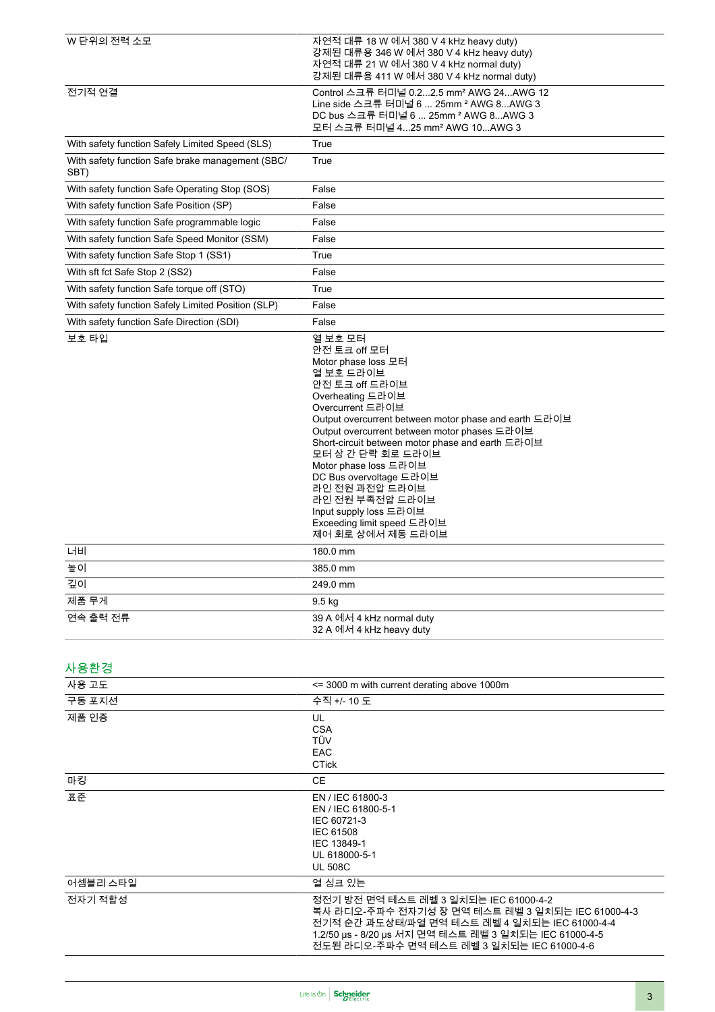| W 단위의 전력 소모                                              | 자연적 대류 18 W 에서 380 V 4 kHz heavy duty)<br>강제된 대류용 346 W 에서 380 V 4 kHz heavy duty)<br>자연적 대류 21 W 에서 380 V 4 kHz normal duty)<br>강제된 대류용 411 W 에서 380 V 4 kHz normal duty)                                                                                                                                                                                                                                                                                         |
|----------------------------------------------------------|--------------------------------------------------------------------------------------------------------------------------------------------------------------------------------------------------------------------------------------------------------------------------------------------------------------------------------------------------------------------------------------------------------------------------------------------------------------------|
| 전기적 연결                                                   | Control 스크류 터미널 0.22.5 mm <sup>2</sup> AWG 24AWG 12<br>Line side 스크류 터미널 6  25mm <sup>2</sup> AWG 8AWG 3<br>DC bus 스크류 터미널 6  25mm $2$ AWG 8AWG 3<br>모터 스크류 터미널 425 mm <sup>2</sup> AWG 10AWG 3                                                                                                                                                                                                                                                                    |
| With safety function Safely Limited Speed (SLS)          | True                                                                                                                                                                                                                                                                                                                                                                                                                                                               |
| With safety function Safe brake management (SBC/<br>SBT) | True                                                                                                                                                                                                                                                                                                                                                                                                                                                               |
| With safety function Safe Operating Stop (SOS)           | False                                                                                                                                                                                                                                                                                                                                                                                                                                                              |
| With safety function Safe Position (SP)                  | False                                                                                                                                                                                                                                                                                                                                                                                                                                                              |
| With safety function Safe programmable logic             | False                                                                                                                                                                                                                                                                                                                                                                                                                                                              |
| With safety function Safe Speed Monitor (SSM)            | False                                                                                                                                                                                                                                                                                                                                                                                                                                                              |
| With safety function Safe Stop 1 (SS1)                   | True                                                                                                                                                                                                                                                                                                                                                                                                                                                               |
| With sft fct Safe Stop 2 (SS2)                           | False                                                                                                                                                                                                                                                                                                                                                                                                                                                              |
| With safety function Safe torque off (STO)               | True                                                                                                                                                                                                                                                                                                                                                                                                                                                               |
| With safety function Safely Limited Position (SLP)       | False                                                                                                                                                                                                                                                                                                                                                                                                                                                              |
| With safety function Safe Direction (SDI)                | False                                                                                                                                                                                                                                                                                                                                                                                                                                                              |
|                                                          | 안전 토크 off 모터<br>Motor phase loss 모터<br>열 보호 드라이브<br>안전 토크 off 드라이브<br>Overheating 드라이브<br>Overcurrent 드라이브<br>Output overcurrent between motor phase and earth 드라이브<br>Output overcurrent between motor phases 드라이브<br>Short-circuit between motor phase and earth 드라이브<br>모터 상 간 단락 회로 드라이브<br>Motor phase loss 드라이브<br>DC Bus overvoltage 드라이브<br>라인 전원 과전압 드라이브<br>라인 전원 부족전압 드라이브<br>Input supply loss 드라이브<br>Exceeding limit speed 드라이브<br>제어 회로 상에서 제동 드라이브 |
| 너비                                                       | 180.0 mm                                                                                                                                                                                                                                                                                                                                                                                                                                                           |
| 높이                                                       | 385.0 mm                                                                                                                                                                                                                                                                                                                                                                                                                                                           |
| 깊이                                                       | 249.0 mm                                                                                                                                                                                                                                                                                                                                                                                                                                                           |
| 제품 무게                                                    | 9.5 kg                                                                                                                                                                                                                                                                                                                                                                                                                                                             |
| 연속 출력 전류                                                 | 39 A 에서 4 kHz normal duty<br>32 A 에서 4 kHz heavy duty                                                                                                                                                                                                                                                                                                                                                                                                              |
| 사용환경                                                     |                                                                                                                                                                                                                                                                                                                                                                                                                                                                    |
| 사용 고도                                                    | <= 3000 m with current derating above 1000m                                                                                                                                                                                                                                                                                                                                                                                                                        |
| 구동 포지션                                                   | 수직 +/- 10 도                                                                                                                                                                                                                                                                                                                                                                                                                                                        |
| 제품 인증                                                    | UL<br><b>CSA</b><br>TÜV<br>EAC<br><b>CTick</b>                                                                                                                                                                                                                                                                                                                                                                                                                     |
| 마킹                                                       | <b>CE</b>                                                                                                                                                                                                                                                                                                                                                                                                                                                          |
| 표준                                                       | EN / IEC 61800-3<br>EN / IEC 61800-5-1<br>IEC 60721-3<br>IEC 61508<br>IEC 13849-1<br>UL 618000-5-1<br><b>UL 508C</b>                                                                                                                                                                                                                                                                                                                                               |
| 어셈블리 스타일                                                 | 열 싱크 있는                                                                                                                                                                                                                                                                                                                                                                                                                                                            |
| 전자기 적합성                                                  | 정전기 방전 면역 테스트 레벨 3 일치되는 IEC 61000-4-2<br>복사 라디오-주파수 전자기성 장 면역 테스트 레벨 3 일치되는 IEC 61000-4-3<br>전기적 순간 과도상태/파열 면역 테스트 레벨 4 일치되는 IEC 61000-4-4<br>1.2/50 μs - 8/20 μs 서지 면역 테스트 레벨 3 일치되는 IEC 61000-4-5<br>전도된 라디오-주파수 면역 테스트 레벨 3 일치되는 IEC 61000-4-6                                                                                                                                                                                                                  |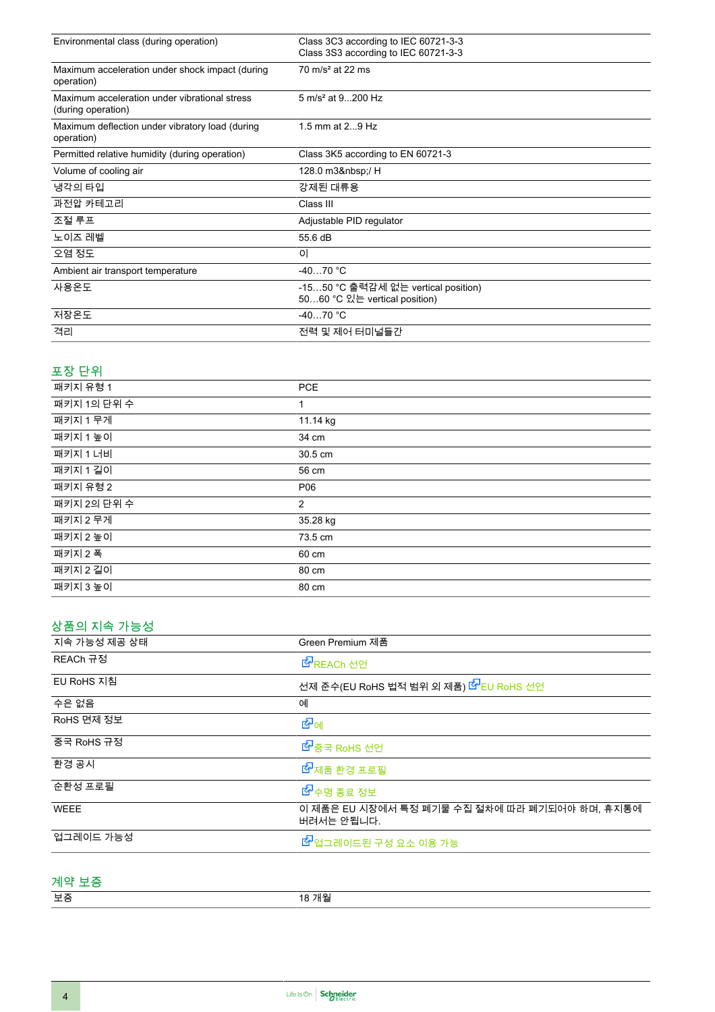| Environmental class (during operation)                              | Class 3C3 according to IEC 60721-3-3                                  |
|---------------------------------------------------------------------|-----------------------------------------------------------------------|
|                                                                     | Class 3S3 according to IEC 60721-3-3                                  |
| Maximum acceleration under shock impact (during<br>operation)       | $70 \text{ m/s}^2$ at 22 ms                                           |
| Maximum acceleration under vibrational stress<br>(during operation) | 5 m/s <sup>2</sup> at 9200 Hz                                         |
| Maximum deflection under vibratory load (during<br>operation)       | 1.5 mm at $29$ Hz                                                     |
| Permitted relative humidity (during operation)                      | Class 3K5 according to EN 60721-3                                     |
| Volume of cooling air                                               | 128.0 m3 / H                                                          |
| 냉각의 타입                                                              | 강제된 대류용                                                               |
| 과전압 카테고리                                                            | Class III                                                             |
| 조절 루프                                                               | Adjustable PID regulator                                              |
| 노이즈 레벨                                                              | 55.6 dB                                                               |
| 오염 정도                                                               | 0                                                                     |
| Ambient air transport temperature                                   | $-4070 °C$                                                            |
| 사용온도                                                                | -15…50 °C 출력감세 없는 vertical position)<br>5060 °C 있는 vertical position) |
| 저장온도                                                                | $-4070 °C$                                                            |
| 격리                                                                  | 전력 및 제어 터미널들간                                                         |

### 포장 단위

| 패키지 유형 1    | <b>PCE</b> |
|-------------|------------|
| 패키지 1의 단위 수 | 1          |
| 패키지 1 무게    | 11.14 kg   |
| 패키지 1 높이    | 34 cm      |
| 패키지 1 너비    | 30.5 cm    |
| 패키지 1 길이    | 56 cm      |
| 패키지 유형 2    | P06        |
| 패키지 2의 단위 수 | 2          |
| 패키지 2 무게    | 35.28 kg   |
| 패키지 2 높이    | 73.5 cm    |
| 패키지 2 폭     | 60 cm      |
| 패키지 2 길이    | 80 cm      |
| 패키지 3 높이    | 80 cm      |
|             |            |

### 상품의 지속 가능성

| 지속 가능성 제공 상태 | Green Premium 제품                                            |
|--------------|-------------------------------------------------------------|
| REACh 규정     | LACH 선언                                                     |
| EU RoHS 지침   | 선제 준수(EU RoHS 법적 범위 외 제품) <mark>소</mark> EU RoHS 선언         |
| 수은 없음        | 예                                                           |
| RoHS 면제 정보   | ख•िञ                                                        |
| 중국 RoHS 규정   | ■ 중국 RoHS 선언                                                |
| 환경 공시        | ■ 제품 환경 프로필                                                 |
| 순환성 프로필      | ■ 수명 종료 정보                                                  |
| <b>WEEE</b>  | 이 제품은 EU 시장에서 특정 폐기물 수집 절차에 따라 폐기되어야 하며, 휴지통에<br>버려서는 안됩니다. |
| 업그레이드 가능성    | ■ 업그레이드된 구성 요소 이용 가능                                        |

#### 계약 보증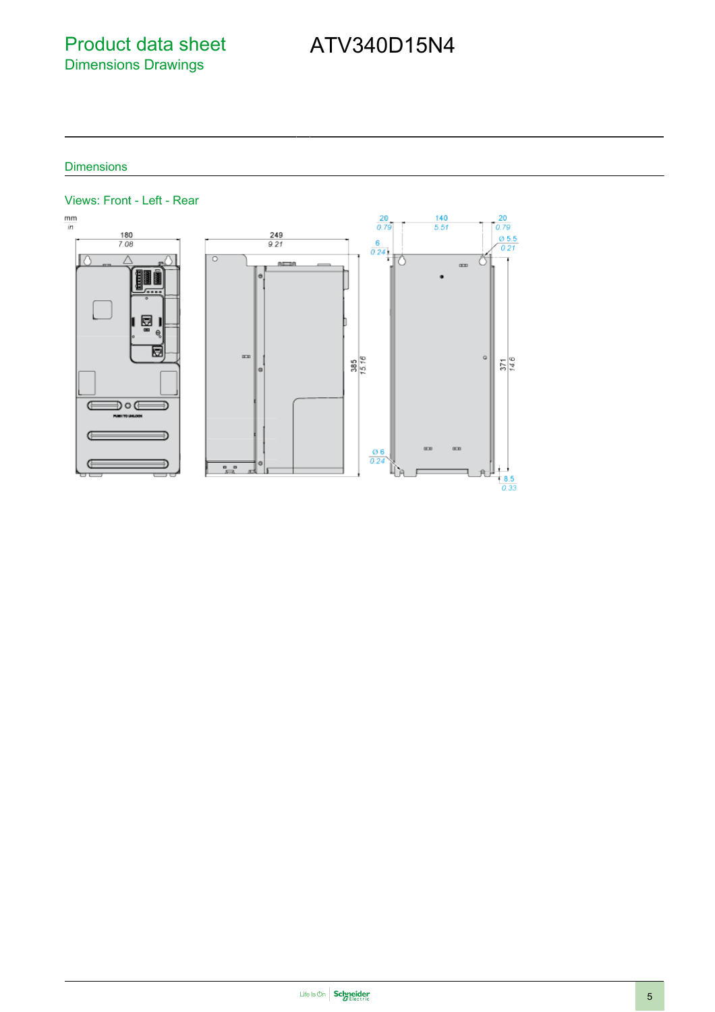# Product data sheet Dimensions Drawings

# ATV340D15N4

#### **Dimensions**

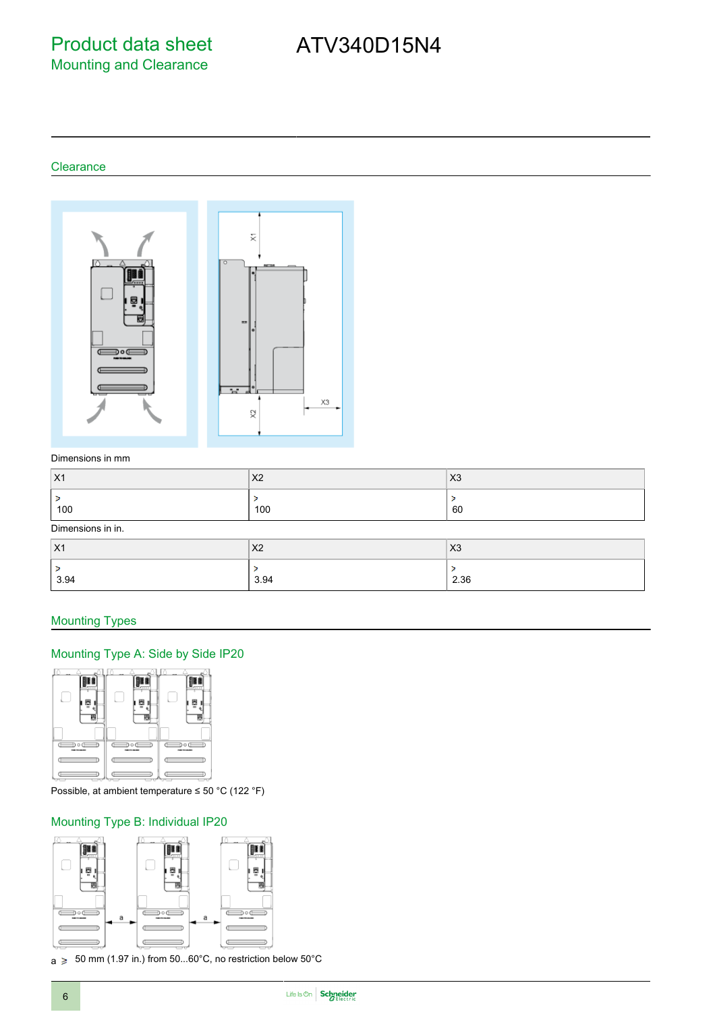Product data sheet Mounting and Clearance

# ATV340D15N4

#### **Clearance**



#### Dimensions in mm

| $ X_1$            | X <sub>2</sub> | X <sub>3</sub> |
|-------------------|----------------|----------------|
| ∍<br>100          | 100            | 60             |
| Dimensions in in. |                |                |

| $ X_1$    | X <sub>2</sub> | X3   |
|-----------|----------------|------|
| -<br>3.94 | 3.94           | 2.36 |

#### Mounting Types

#### Mounting Type A: Side by Side IP20



Possible, at ambient temperature ≤ 50 °C (122 °F)

#### Mounting Type B: Individual IP20



 $a \geqslant 50$  mm (1.97 in.) from 50...60°C, no restriction below 50°C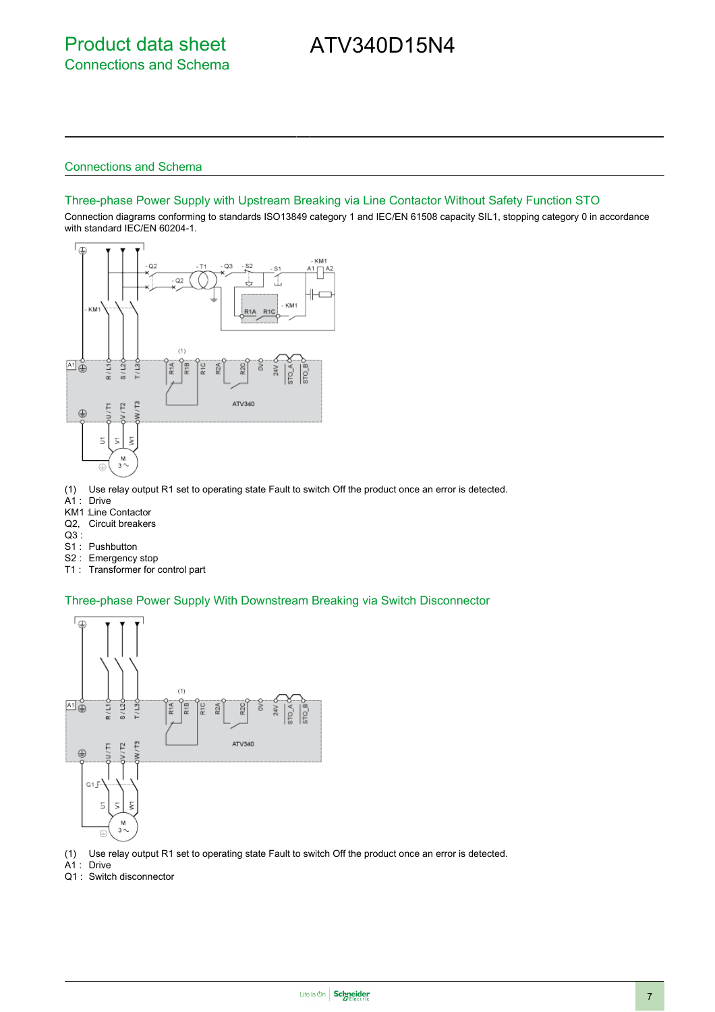# ATV340D15N4

#### Connections and Schema

#### Three-phase Power Supply with Upstream Breaking via Line Contactor Without Safety Function STO

Connection diagrams conforming to standards ISO13849 category 1 and IEC/EN 61508 capacity SIL1, stopping category 0 in accordance with standard IEC/EN 60204-1.



- (1) Use relay output R1 set to operating state Fault to switch Off the product once an error is detected.
- A1 : Drive
- KM1 :Line Contactor
- Q2, Circuit breakers
- Q3 :
- S1 : Pushbutton
- S2 : Emergency stop
- T1 : Transformer for control part

#### Three-phase Power Supply With Downstream Breaking via Switch Disconnector



(1) Use relay output R1 set to operating state Fault to switch Off the product once an error is detected.

- A1 : Drive
- Q1 : Switch disconnector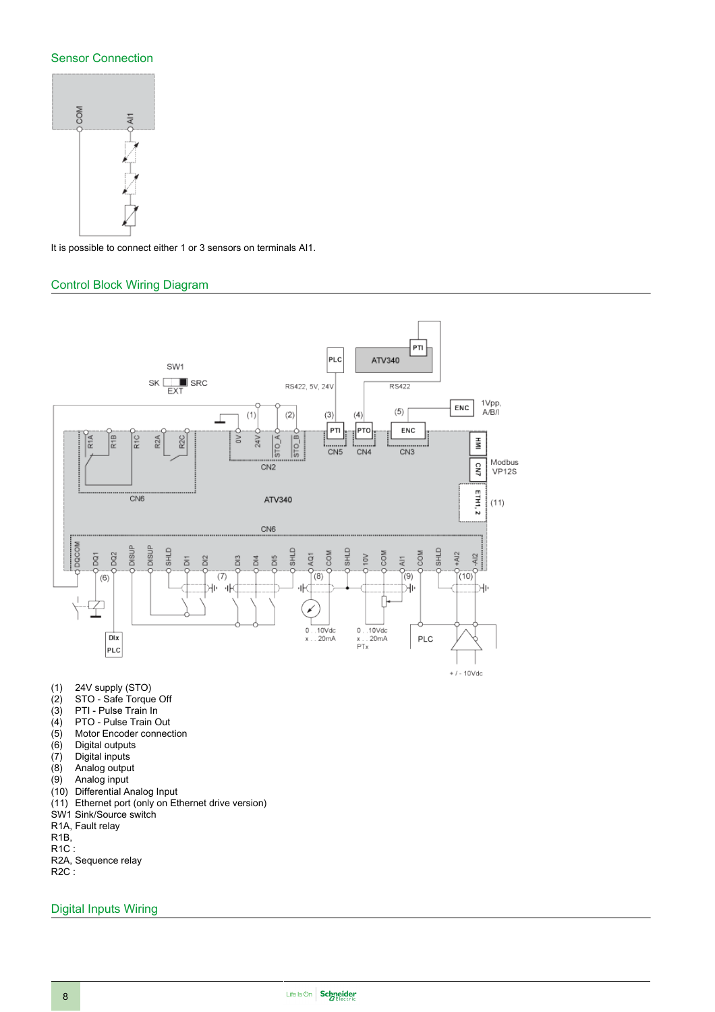#### Sensor Connection



It is possible to connect either 1 or 3 sensors on terminals AI1.

#### Control Block Wiring Diagram



- (5) Motor Encoder connection<br>(6) Digital outputs
- 
- Digital inputs
- (6) Digital outputs<br>(7) Digital inputs<br>(8) Analog output
- (8) Analog output<br>(9) Analog input Analog input
- (10) Differential Analog Input
- (11) Ethernet port (only on Ethernet drive version)
- SW1 Sink/Source switch
- R1A, Fault relay
- R1B,
- R1C :
- R2A, Sequence relay
- R2C :

#### Digital Inputs Wiring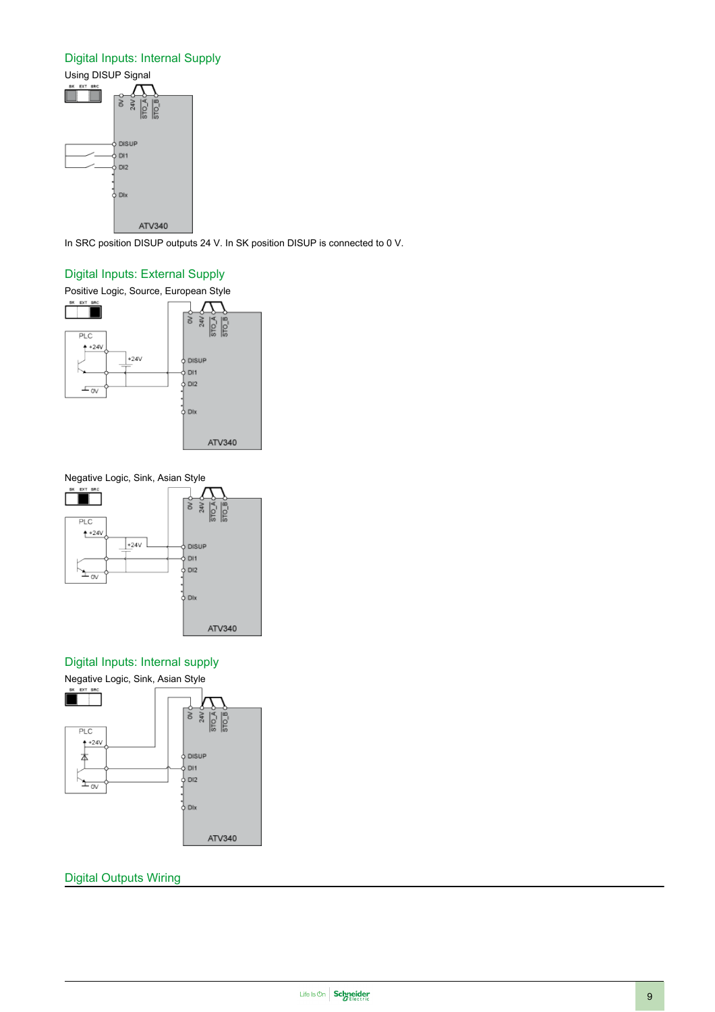#### Digital Inputs: Internal Supply



In SRC position DISUP outputs 24 V. In SK position DISUP is connected to 0 V.

#### Digital Inputs: External Supply





#### Digital Inputs: Internal supply



#### Digital Outputs Wiring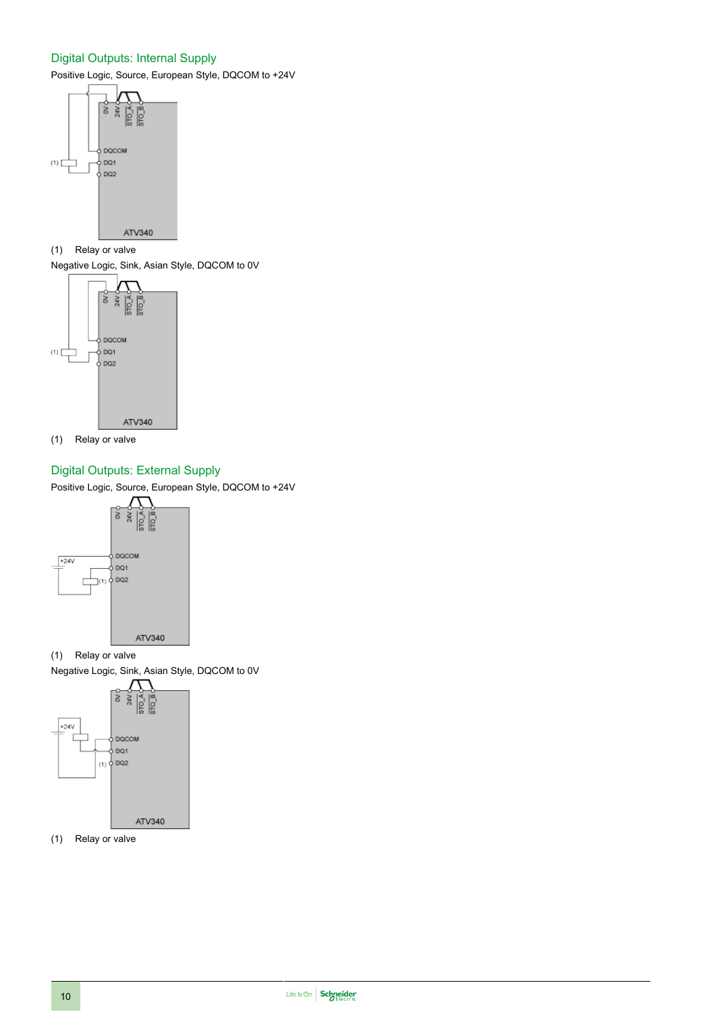#### Digital Outputs: Internal Supply

Positive Logic, Source, European Style, DQCOM to +24V



(1) Relay or valve

Negative Logic, Sink, Asian Style, DQCOM to 0V



(1) Relay or valve

### Digital Outputs: External Supply

Positive Logic, Source, European Style, DQCOM to +24V



- (1) Relay or valve
- Negative Logic, Sink, Asian Style, DQCOM to 0V



(1) Relay or valve